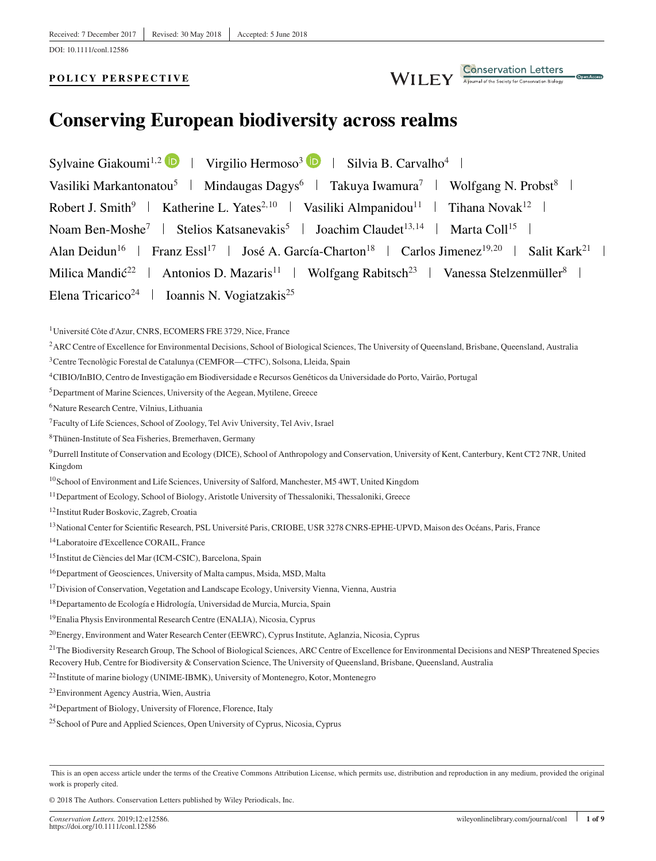DOI: 10.1111/conl.12586

### **POLICY PERSPECTIVE**



# **Conserving European biodiversity across realms**

Sylvaine Giakoumi<sup>1,2</sup> D | Virgilio Hermoso<sup>3</sup> D | Silvia B. Carvalho<sup>4</sup> | Vasiliki Markantonatou<sup>5</sup> | Mindaugas Dagys<sup>6</sup> | Takuya Iwamura<sup>7</sup> | Wolfgang N. Probst<sup>8</sup> | Robert J. Smith<sup>9</sup> | Katherine L. Yates<sup>2,10</sup> | Vasiliki Almpanidou<sup>11</sup> | Tihana Novak<sup>12</sup> | Noam Ben-Moshe<sup>7</sup> | Stelios Katsanevakis<sup>5</sup> | Joachim Claudet<sup>13,14</sup> | Marta Coll<sup>15</sup> | Alan Deidun<sup>16</sup> | Franz Essl<sup>17</sup> | José A. García-Charton<sup>18</sup> | Carlos Jimenez<sup>19,20</sup> | Salit Kark<sup>21</sup> | Milica Mandić<sup>22</sup> | Antonios D. Mazaris<sup>11</sup> | Wolfgang Rabitsch<sup>23</sup> | Vanessa Stelzenmüller<sup>8</sup> | Elena Tricarico<sup>24</sup> | Ioannis N. Vogiatzakis<sup>25</sup>

1Université Côte d'Azur, CNRS, ECOMERS FRE 3729, Nice, France

<sup>2</sup> ARC Centre of Excellence for Environmental Decisions, School of Biological Sciences, The University of Queensland, Brisbane, Queensland, Australia

<sup>3</sup>Centre Tecnològic Forestal de Catalunya (CEMFOR—CTFC), Solsona, Lleida, Spain

4CIBIO/InBIO, Centro de Investigação em Biodiversidade e Recursos Genéticos da Universidade do Porto, Vairão, Portugal

5Department of Marine Sciences, University of the Aegean, Mytilene, Greece

6Nature Research Centre, Vilnius, Lithuania

7Faculty of Life Sciences, School of Zoology, Tel Aviv University, Tel Aviv, Israel

8Thünen-Institute of Sea Fisheries, Bremerhaven, Germany

9Durrell Institute of Conservation and Ecology (DICE), School of Anthropology and Conservation, University of Kent, Canterbury, Kent CT2 7NR, United Kingdom

10School of Environment and Life Sciences, University of Salford, Manchester, M5 4WT, United Kingdom

<sup>11</sup> Department of Ecology, School of Biology, Aristotle University of Thessaloniki, Thessaloniki, Greece

12Institut Ruder Boskovic, Zagreb, Croatia

<sup>13</sup>National Center for Scientific Research, PSL Université Paris, CRIOBE, USR 3278 CNRS-EPHE-UPVD, Maison des Océans, Paris, France

14Laboratoire d'Excellence CORAIL, France

15Institut de Ciències del Mar (ICM-CSIC), Barcelona, Spain

16Department of Geosciences, University of Malta campus, Msida, MSD, Malta

<sup>17</sup>Division of Conservation, Vegetation and Landscape Ecology, University Vienna, Vienna, Austria

18Departamento de Ecología e Hidrología, Universidad de Murcia, Murcia, Spain

19Enalia Physis Environmental Research Centre (ENALIA), Nicosia, Cyprus

20Energy, Environment and Water Research Center (EEWRC), Cyprus Institute, Aglanzia, Nicosia, Cyprus

<sup>21</sup>The Biodiversity Research Group, The School of Biological Sciences, ARC Centre of Excellence for Environmental Decisions and NESP Threatened Species Recovery Hub, Centre for Biodiversity & Conservation Science, The University of Queensland, Brisbane, Queensland, Australia

22Institute of marine biology (UNIME-IBMK), University of Montenegro, Kotor, Montenegro

23Environment Agency Austria, Wien, Austria

24Department of Biology, University of Florence, Florence, Italy

<sup>25</sup> School of Pure and Applied Sciences, Open University of Cyprus, Nicosia, Cyprus

© 2018 The Authors. Conservation Letters published by Wiley Periodicals, Inc.

This is an open access article under the terms of the [Creative Commons Attribution](http://creativecommons.org/licenses/by/4.0/) License, which permits use, distribution and reproduction in any medium, provided the original work is properly cited.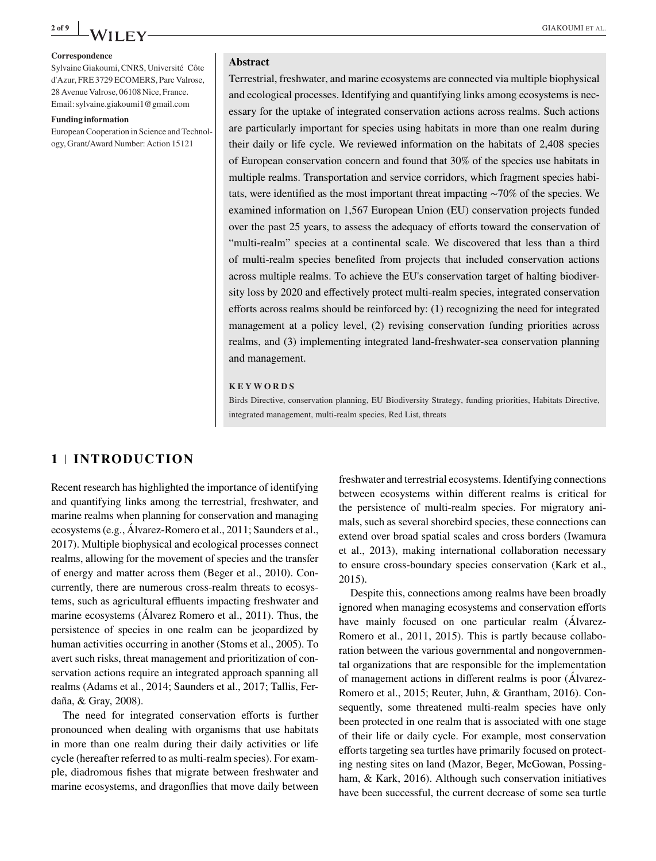

#### **Correspondence**

Sylvaine Giakoumi, CNRS, Université Côte d'Azur, FRE 3729 ECOMERS, Parc Valrose, 28 Avenue Valrose, 06108 Nice, France. Email: sylvaine.giakoumi1@gmail.com

#### **Funding information**

European Cooperation in Science and Technology, Grant/Award Number: Action 15121

#### **Abstract**

Terrestrial, freshwater, and marine ecosystems are connected via multiple biophysical and ecological processes. Identifying and quantifying links among ecosystems is necessary for the uptake of integrated conservation actions across realms. Such actions are particularly important for species using habitats in more than one realm during their daily or life cycle. We reviewed information on the habitats of 2,408 species of European conservation concern and found that 30% of the species use habitats in multiple realms. Transportation and service corridors, which fragment species habitats, were identified as the most important threat impacting ∼70% of the species. We examined information on 1,567 European Union (EU) conservation projects funded over the past 25 years, to assess the adequacy of efforts toward the conservation of "multi-realm" species at a continental scale. We discovered that less than a third of multi-realm species benefited from projects that included conservation actions across multiple realms. To achieve the EU's conservation target of halting biodiversity loss by 2020 and effectively protect multi-realm species, integrated conservation efforts across realms should be reinforced by: (1) recognizing the need for integrated management at a policy level, (2) revising conservation funding priorities across realms, and (3) implementing integrated land-freshwater-sea conservation planning and management.

#### **KEYWORDS**

Birds Directive, conservation planning, EU Biodiversity Strategy, funding priorities, Habitats Directive, integrated management, multi-realm species, Red List, threats

# **1 INTRODUCTION**

Recent research has highlighted the importance of identifying and quantifying links among the terrestrial, freshwater, and marine realms when planning for conservation and managing ecosystems (e.g., Álvarez-Romero et al., 2011; Saunders et al., 2017). Multiple biophysical and ecological processes connect realms, allowing for the movement of species and the transfer of energy and matter across them (Beger et al., 2010). Concurrently, there are numerous cross-realm threats to ecosystems, such as agricultural effluents impacting freshwater and marine ecosystems (Álvarez Romero et al., 2011). Thus, the persistence of species in one realm can be jeopardized by human activities occurring in another (Stoms et al., 2005). To avert such risks, threat management and prioritization of conservation actions require an integrated approach spanning all realms (Adams et al., 2014; Saunders et al., 2017; Tallis, Ferdaña, & Gray, 2008).

The need for integrated conservation efforts is further pronounced when dealing with organisms that use habitats in more than one realm during their daily activities or life cycle (hereafter referred to as multi-realm species). For example, diadromous fishes that migrate between freshwater and marine ecosystems, and dragonflies that move daily between

freshwater and terrestrial ecosystems. Identifying connections between ecosystems within different realms is critical for the persistence of multi-realm species. For migratory animals, such as several shorebird species, these connections can extend over broad spatial scales and cross borders (Iwamura et al., 2013), making international collaboration necessary to ensure cross-boundary species conservation (Kark et al., 2015).

Despite this, connections among realms have been broadly ignored when managing ecosystems and conservation efforts have mainly focused on one particular realm (Álvarez-Romero et al., 2011, 2015). This is partly because collaboration between the various governmental and nongovernmental organizations that are responsible for the implementation of management actions in different realms is poor (Álvarez-Romero et al., 2015; Reuter, Juhn, & Grantham, 2016). Consequently, some threatened multi-realm species have only been protected in one realm that is associated with one stage of their life or daily cycle. For example, most conservation efforts targeting sea turtles have primarily focused on protecting nesting sites on land (Mazor, Beger, McGowan, Possingham, & Kark, 2016). Although such conservation initiatives have been successful, the current decrease of some sea turtle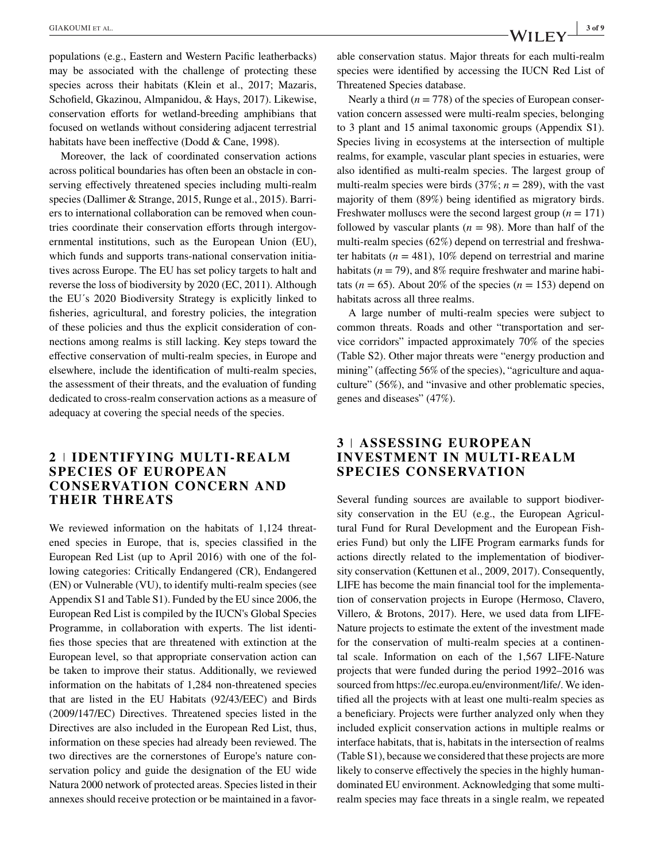populations (e.g., Eastern and Western Pacific leatherbacks) may be associated with the challenge of protecting these species across their habitats (Klein et al., 2017; Mazaris, Schofield, Gkazinou, Almpanidou, & Hays, 2017). Likewise, conservation efforts for wetland-breeding amphibians that focused on wetlands without considering adjacent terrestrial habitats have been ineffective (Dodd & Cane, 1998).

Moreover, the lack of coordinated conservation actions across political boundaries has often been an obstacle in conserving effectively threatened species including multi-realm species (Dallimer & Strange, 2015, Runge et al., 2015). Barriers to international collaboration can be removed when countries coordinate their conservation efforts through intergovernmental institutions, such as the European Union (EU), which funds and supports trans-national conservation initiatives across Europe. The EU has set policy targets to halt and reverse the loss of biodiversity by 2020 (EC, 2011). Although the EU´s 2020 Biodiversity Strategy is explicitly linked to fisheries, agricultural, and forestry policies, the integration of these policies and thus the explicit consideration of connections among realms is still lacking. Key steps toward the effective conservation of multi-realm species, in Europe and elsewhere, include the identification of multi-realm species, the assessment of their threats, and the evaluation of funding dedicated to cross-realm conservation actions as a measure of adequacy at covering the special needs of the species.

## **2 IDENTIFYING MULTI-REALM SPECIES OF EUROPEAN CONSERVATION CONCERN AND THEIR THREATS**

We reviewed information on the habitats of 1,124 threatened species in Europe, that is, species classified in the European Red List (up to April 2016) with one of the following categories: Critically Endangered (CR), Endangered (EN) or Vulnerable (VU), to identify multi-realm species (see Appendix S1 and Table S1). Funded by the EU since 2006, the European Red List is compiled by the IUCN's Global Species Programme, in collaboration with experts. The list identifies those species that are threatened with extinction at the European level, so that appropriate conservation action can be taken to improve their status. Additionally, we reviewed information on the habitats of 1,284 non-threatened species that are listed in the EU Habitats (92/43/EEC) and Birds (2009/147/EC) Directives. Threatened species listed in the Directives are also included in the European Red List, thus, information on these species had already been reviewed. The two directives are the cornerstones of Europe's nature conservation policy and guide the designation of the EU wide Natura 2000 network of protected areas. Species listed in their annexes should receive protection or be maintained in a favorable conservation status. Major threats for each multi-realm species were identified by accessing the IUCN Red List of Threatened Species database.

Nearly a third  $(n = 778)$  of the species of European conservation concern assessed were multi-realm species, belonging to 3 plant and 15 animal taxonomic groups (Appendix S1). Species living in ecosystems at the intersection of multiple realms, for example, vascular plant species in estuaries, were also identified as multi-realm species. The largest group of multi-realm species were birds  $(37\%, n = 289)$ , with the vast majority of them (89%) being identified as migratory birds. Freshwater molluscs were the second largest group  $(n = 171)$ followed by vascular plants ( $n = 98$ ). More than half of the multi-realm species (62%) depend on terrestrial and freshwater habitats  $(n = 481)$ , 10% depend on terrestrial and marine habitats ( $n = 79$ ), and 8% require freshwater and marine habitats ( $n = 65$ ). About 20% of the species ( $n = 153$ ) depend on habitats across all three realms.

A large number of multi-realm species were subject to common threats. Roads and other "transportation and service corridors" impacted approximately 70% of the species (Table S2). Other major threats were "energy production and mining" (affecting 56% of the species), "agriculture and aquaculture" (56%), and "invasive and other problematic species, genes and diseases" (47%).

# **3 ASSESSING EUROPEAN INVESTMENT IN MULTI-REALM SPECIES CONSERVATION**

Several funding sources are available to support biodiversity conservation in the EU (e.g., the European Agricultural Fund for Rural Development and the European Fisheries Fund) but only the LIFE Program earmarks funds for actions directly related to the implementation of biodiversity conservation (Kettunen et al., 2009, 2017). Consequently, LIFE has become the main financial tool for the implementation of conservation projects in Europe (Hermoso, Clavero, Villero, & Brotons, 2017). Here, we used data from LIFE-Nature projects to estimate the extent of the investment made for the conservation of multi-realm species at a continental scale. Information on each of the 1,567 LIFE-Nature projects that were funded during the period 1992–2016 was sourced from [https://ec.europa.eu/environment/life/.](https://ec.europa.eu/environment/life/) We identified all the projects with at least one multi-realm species as a beneficiary. Projects were further analyzed only when they included explicit conservation actions in multiple realms or interface habitats, that is, habitats in the intersection of realms (Table S1), because we considered that these projects are more likely to conserve effectively the species in the highly humandominated EU environment. Acknowledging that some multirealm species may face threats in a single realm, we repeated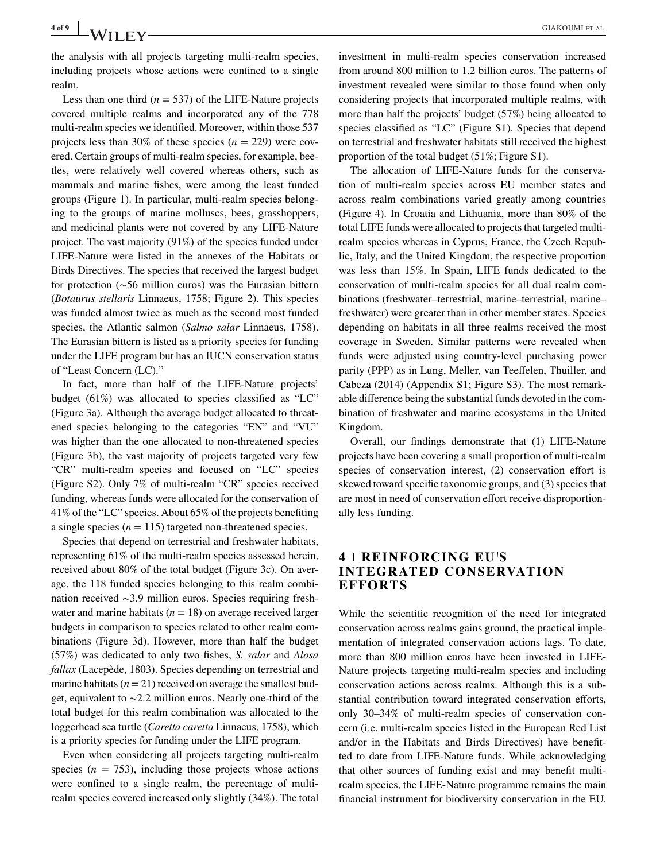the analysis with all projects targeting multi-realm species, including projects whose actions were confined to a single realm.

Less than one third  $(n = 537)$  of the LIFE-Nature projects covered multiple realms and incorporated any of the 778 multi-realm species we identified. Moreover, within those 537 projects less than 30% of these species  $(n = 229)$  were covered. Certain groups of multi-realm species, for example, beetles, were relatively well covered whereas others, such as mammals and marine fishes, were among the least funded groups (Figure 1). In particular, multi-realm species belonging to the groups of marine molluscs, bees, grasshoppers, and medicinal plants were not covered by any LIFE-Nature project. The vast majority (91%) of the species funded under LIFE-Nature were listed in the annexes of the Habitats or Birds Directives. The species that received the largest budget for protection (∼56 million euros) was the Eurasian bittern (*Botaurus stellaris* Linnaeus, 1758; Figure 2). This species was funded almost twice as much as the second most funded species, the Atlantic salmon (*Salmo salar* Linnaeus, 1758). The Eurasian bittern is listed as a priority species for funding under the LIFE program but has an IUCN conservation status of "Least Concern (LC)."

In fact, more than half of the LIFE-Nature projects' budget (61%) was allocated to species classified as "LC" (Figure 3a). Although the average budget allocated to threatened species belonging to the categories "EN" and "VU" was higher than the one allocated to non-threatened species (Figure 3b), the vast majority of projects targeted very few "CR" multi-realm species and focused on "LC" species (Figure S2). Only 7% of multi-realm "CR" species received funding, whereas funds were allocated for the conservation of 41% of the "LC" species. About 65% of the projects benefiting a single species  $(n = 115)$  targeted non-threatened species.

Species that depend on terrestrial and freshwater habitats, representing 61% of the multi-realm species assessed herein, received about 80% of the total budget (Figure 3c). On average, the 118 funded species belonging to this realm combination received ∼3.9 million euros. Species requiring freshwater and marine habitats  $(n = 18)$  on average received larger budgets in comparison to species related to other realm combinations (Figure 3d). However, more than half the budget (57%) was dedicated to only two fishes, *S. salar* and *Alosa fallax* (Lacepède, 1803). Species depending on terrestrial and marine habitats  $(n = 21)$  received on average the smallest budget, equivalent to ∼2.2 million euros. Nearly one-third of the total budget for this realm combination was allocated to the loggerhead sea turtle (*Caretta caretta* Linnaeus, 1758), which is a priority species for funding under the LIFE program.

Even when considering all projects targeting multi-realm species  $(n = 753)$ , including those projects whose actions were confined to a single realm, the percentage of multirealm species covered increased only slightly (34%). The total investment in multi-realm species conservation increased from around 800 million to 1.2 billion euros. The patterns of investment revealed were similar to those found when only considering projects that incorporated multiple realms, with more than half the projects' budget (57%) being allocated to species classified as "LC" (Figure S1). Species that depend on terrestrial and freshwater habitats still received the highest proportion of the total budget (51%; Figure S1).

The allocation of LIFE-Nature funds for the conservation of multi-realm species across EU member states and across realm combinations varied greatly among countries (Figure 4). In Croatia and Lithuania, more than 80% of the total LIFE funds were allocated to projects that targeted multirealm species whereas in Cyprus, France, the Czech Republic, Italy, and the United Kingdom, the respective proportion was less than 15%. In Spain, LIFE funds dedicated to the conservation of multi-realm species for all dual realm combinations (freshwater–terrestrial, marine–terrestrial, marine– freshwater) were greater than in other member states. Species depending on habitats in all three realms received the most coverage in Sweden. Similar patterns were revealed when funds were adjusted using country-level purchasing power parity (PPP) as in Lung, Meller, van Teeffelen, Thuiller, and Cabeza (2014) (Appendix S1; Figure S3). The most remarkable difference being the substantial funds devoted in the combination of freshwater and marine ecosystems in the United Kingdom.

Overall, our findings demonstrate that (1) LIFE-Nature projects have been covering a small proportion of multi-realm species of conservation interest, (2) conservation effort is skewed toward specific taxonomic groups, and (3) species that are most in need of conservation effort receive disproportionally less funding.

## **4 REINFORCING EU**'**S INTEGRATED CONSERVATION EFFORTS**

While the scientific recognition of the need for integrated conservation across realms gains ground, the practical implementation of integrated conservation actions lags. To date, more than 800 million euros have been invested in LIFE-Nature projects targeting multi-realm species and including conservation actions across realms. Although this is a substantial contribution toward integrated conservation efforts, only 30–34% of multi-realm species of conservation concern (i.e. multi-realm species listed in the European Red List and/or in the Habitats and Birds Directives) have benefitted to date from LIFE-Nature funds. While acknowledging that other sources of funding exist and may benefit multirealm species, the LIFE-Nature programme remains the main financial instrument for biodiversity conservation in the EU.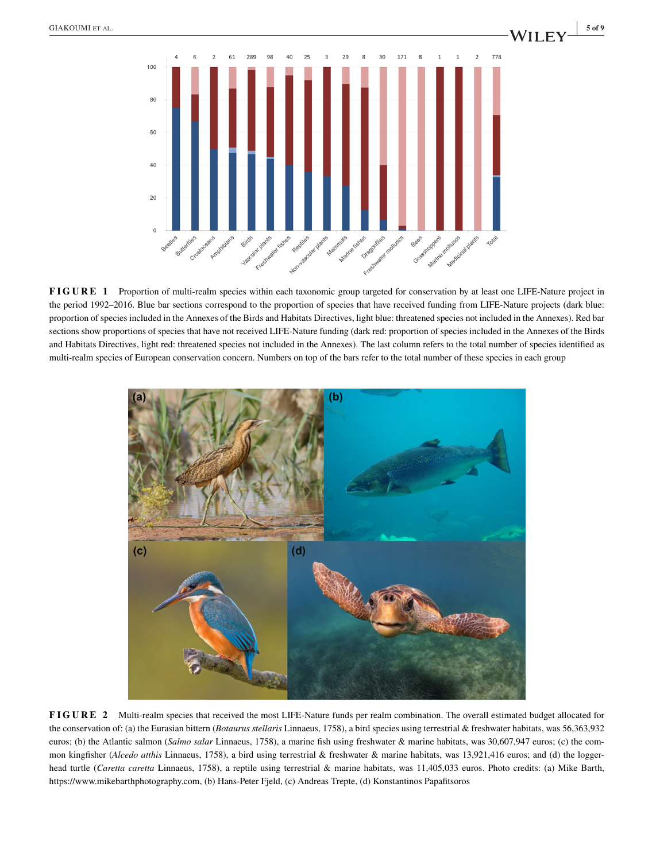

**FIGURE 1** Proportion of multi-realm species within each taxonomic group targeted for conservation by at least one LIFE-Nature project in the period 1992–2016. Blue bar sections correspond to the proportion of species that have received funding from LIFE-Nature projects (dark blue: proportion of species included in the Annexes of the Birds and Habitats Directives, light blue: threatened species not included in the Annexes). Red bar sections show proportions of species that have not received LIFE-Nature funding (dark red: proportion of species included in the Annexes of the Birds and Habitats Directives, light red: threatened species not included in the Annexes). The last column refers to the total number of species identified as multi-realm species of European conservation concern. Numbers on top of the bars refer to the total number of these species in each group



**FIGURE 2** Multi-realm species that received the most LIFE-Nature funds per realm combination. The overall estimated budget allocated for the conservation of: (a) the Eurasian bittern (*Botaurus stellaris* Linnaeus, 1758), a bird species using terrestrial & freshwater habitats, was 56,363,932 euros; (b) the Atlantic salmon (*Salmo salar* Linnaeus, 1758), a marine fish using freshwater & marine habitats, was 30,607,947 euros; (c) the common kingfisher (*Alcedo atthis* Linnaeus, 1758), a bird using terrestrial & freshwater & marine habitats, was 13,921,416 euros; and (d) the loggerhead turtle (*Caretta caretta* Linnaeus, 1758), a reptile using terrestrial & marine habitats, was 11,405,033 euros. Photo credits: (a) Mike Barth, [https://www.mikebarthphotography.com,](https://www.mikebarthphotography.com) (b) Hans-Peter Fjeld, (c) Andreas Trepte, (d) Konstantinos Papafitsoros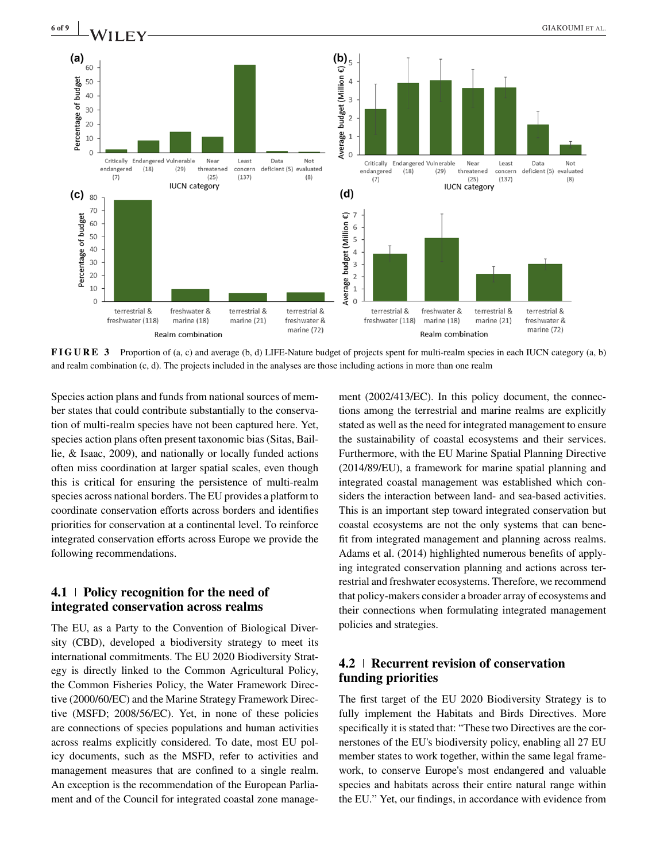

**FIGURE 3** Proportion of (a, c) and average (b, d) LIFE-Nature budget of projects spent for multi-realm species in each IUCN category (a, b) and realm combination (c, d). The projects included in the analyses are those including actions in more than one realm

Species action plans and funds from national sources of member states that could contribute substantially to the conservation of multi-realm species have not been captured here. Yet, species action plans often present taxonomic bias (Sitas, Baillie, & Isaac, 2009), and nationally or locally funded actions often miss coordination at larger spatial scales, even though this is critical for ensuring the persistence of multi-realm species across national borders. The EU provides a platform to coordinate conservation efforts across borders and identifies priorities for conservation at a continental level. To reinforce integrated conservation efforts across Europe we provide the following recommendations.

## **4.1 Policy recognition for the need of integrated conservation across realms**

The EU, as a Party to the Convention of Biological Diversity (CBD), developed a biodiversity strategy to meet its international commitments. The EU 2020 Biodiversity Strategy is directly linked to the Common Agricultural Policy, the Common Fisheries Policy, the Water Framework Directive (2000/60/EC) and the Marine Strategy Framework Directive (MSFD; 2008/56/EC). Yet, in none of these policies are connections of species populations and human activities across realms explicitly considered. To date, most EU policy documents, such as the MSFD, refer to activities and management measures that are confined to a single realm. An exception is the recommendation of the European Parliament and of the Council for integrated coastal zone management (2002/413/EC). In this policy document, the connections among the terrestrial and marine realms are explicitly stated as well as the need for integrated management to ensure the sustainability of coastal ecosystems and their services. Furthermore, with the EU Marine Spatial Planning Directive (2014/89/EU), a framework for marine spatial planning and integrated coastal management was established which considers the interaction between land- and sea-based activities. This is an important step toward integrated conservation but coastal ecosystems are not the only systems that can benefit from integrated management and planning across realms. Adams et al. (2014) highlighted numerous benefits of applying integrated conservation planning and actions across terrestrial and freshwater ecosystems. Therefore, we recommend that policy-makers consider a broader array of ecosystems and their connections when formulating integrated management policies and strategies.

# **4.2 Recurrent revision of conservation funding priorities**

The first target of the EU 2020 Biodiversity Strategy is to fully implement the Habitats and Birds Directives. More specifically it is stated that: "These two Directives are the cornerstones of the EU's biodiversity policy, enabling all 27 EU member states to work together, within the same legal framework, to conserve Europe's most endangered and valuable species and habitats across their entire natural range within the EU." Yet, our findings, in accordance with evidence from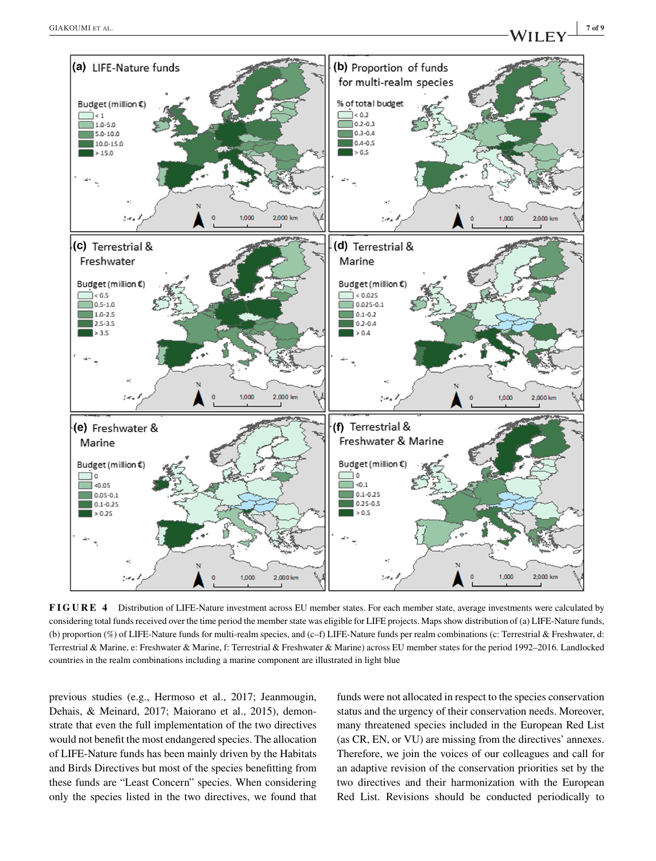

**FIGURE 4** Distribution of LIFE-Nature investment across EU member states. For each member state, average investments were calculated by considering total funds received over the time period the member state was eligible for LIFE projects. Maps show distribution of (a) LIFE-Nature funds, (b) proportion (%) of LIFE-Nature funds for multi-realm species, and (c–f) LIFE-Nature funds per realm combinations (c: Terrestrial & Freshwater, d: Terrestrial & Marine, e: Freshwater & Marine, f: Terrestrial & Freshwater & Marine) across EU member states for the period 1992–2016. Landlocked countries in the realm combinations including a marine component are illustrated in light blue

previous studies (e.g., Hermoso et al., 2017; Jeanmougin, Dehais, & Meinard, 2017; Maiorano et al., 2015), demonstrate that even the full implementation of the two directives would not benefit the most endangered species. The allocation of LIFE-Nature funds has been mainly driven by the Habitats and Birds Directives but most of the species benefitting from these funds are "Least Concern" species. When considering only the species listed in the two directives, we found that funds were not allocated in respect to the species conservation status and the urgency of their conservation needs. Moreover, many threatened species included in the European Red List (as CR, EN, or VU) are missing from the directives' annexes. Therefore, we join the voices of our colleagues and call for an adaptive revision of the conservation priorities set by the two directives and their harmonization with the European Red List. Revisions should be conducted periodically to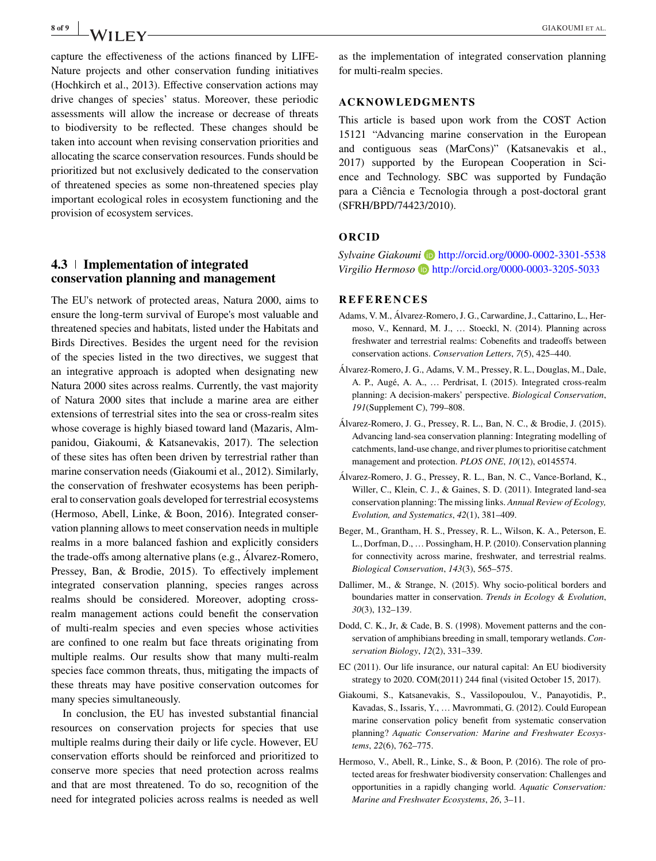capture the effectiveness of the actions financed by LIFE-Nature projects and other conservation funding initiatives (Hochkirch et al., 2013). Effective conservation actions may drive changes of species' status. Moreover, these periodic assessments will allow the increase or decrease of threats to biodiversity to be reflected. These changes should be taken into account when revising conservation priorities and allocating the scarce conservation resources. Funds should be prioritized but not exclusively dedicated to the conservation of threatened species as some non-threatened species play important ecological roles in ecosystem functioning and the provision of ecosystem services.

# **4.3 Implementation of integrated conservation planning and management**

The EU's network of protected areas, Natura 2000, aims to ensure the long-term survival of Europe's most valuable and threatened species and habitats, listed under the Habitats and Birds Directives. Besides the urgent need for the revision of the species listed in the two directives, we suggest that an integrative approach is adopted when designating new Natura 2000 sites across realms. Currently, the vast majority of Natura 2000 sites that include a marine area are either extensions of terrestrial sites into the sea or cross-realm sites whose coverage is highly biased toward land (Mazaris, Almpanidou, Giakoumi, & Katsanevakis, 2017). The selection of these sites has often been driven by terrestrial rather than marine conservation needs (Giakoumi et al., 2012). Similarly, the conservation of freshwater ecosystems has been peripheral to conservation goals developed for terrestrial ecosystems (Hermoso, Abell, Linke, & Boon, 2016). Integrated conservation planning allows to meet conservation needs in multiple realms in a more balanced fashion and explicitly considers the trade-offs among alternative plans (e.g., Álvarez-Romero, Pressey, Ban, & Brodie, 2015). To effectively implement integrated conservation planning, species ranges across realms should be considered. Moreover, adopting crossrealm management actions could benefit the conservation of multi-realm species and even species whose activities are confined to one realm but face threats originating from multiple realms. Our results show that many multi-realm species face common threats, thus, mitigating the impacts of these threats may have positive conservation outcomes for many species simultaneously.

In conclusion, the EU has invested substantial financial resources on conservation projects for species that use multiple realms during their daily or life cycle. However, EU conservation efforts should be reinforced and prioritized to conserve more species that need protection across realms and that are most threatened. To do so, recognition of the need for integrated policies across realms is needed as well as the implementation of integrated conservation planning for multi-realm species.

#### **ACKNOWLEDGMENTS**

This article is based upon work from the COST Action 15121 "Advancing marine conservation in the European and contiguous seas (MarCons)" (Katsanevakis et al., 2017) supported by the European Cooperation in Science and Technology. SBC was supported by Fundação para a Ciência e Tecnologia through a post-doctoral grant (SFRH/BPD/74423/2010).

#### **ORCID**

*Sylvaine Giakoumi* <http://orcid.org/0000-0002-3301-5538> Virgilio Hermoso<sup>b</sup> <http://orcid.org/0000-0003-3205-5033>

#### **REFERENCES**

- Adams, V. M., Álvarez-Romero, J. G., Carwardine, J., Cattarino, L., Hermoso, V., Kennard, M. J., … Stoeckl, N. (2014). Planning across freshwater and terrestrial realms: Cobenefits and tradeoffs between conservation actions. *Conservation Letters*, *7*(5), 425–440.
- Álvarez-Romero, J. G., Adams, V. M., Pressey, R. L., Douglas, M., Dale, A. P., Augé, A. A., … Perdrisat, I. (2015). Integrated cross-realm planning: A decision-makers' perspective. *Biological Conservation*, *191*(Supplement C), 799–808.
- Álvarez-Romero, J. G., Pressey, R. L., Ban, N. C., & Brodie, J. (2015). Advancing land-sea conservation planning: Integrating modelling of catchments, land-use change, and river plumes to prioritise catchment management and protection. *PLOS ONE*, *10*(12), e0145574.
- Álvarez-Romero, J. G., Pressey, R. L., Ban, N. C., Vance-Borland, K., Willer, C., Klein, C. J., & Gaines, S. D. (2011). Integrated land-sea conservation planning: The missing links. *Annual Review of Ecology, Evolution, and Systematics*, *42*(1), 381–409.
- Beger, M., Grantham, H. S., Pressey, R. L., Wilson, K. A., Peterson, E. L., Dorfman, D., … Possingham, H. P. (2010). Conservation planning for connectivity across marine, freshwater, and terrestrial realms. *Biological Conservation*, *143*(3), 565–575.
- Dallimer, M., & Strange, N. (2015). Why socio-political borders and boundaries matter in conservation. *Trends in Ecology & Evolution*, *30*(3), 132–139.
- Dodd, C. K., Jr, & Cade, B. S. (1998). Movement patterns and the conservation of amphibians breeding in small, temporary wetlands. *Conservation Biology*, *12*(2), 331–339.
- EC (2011). Our life insurance, our natural capital: An EU biodiversity strategy to 2020. COM(2011) 244 final (visited October 15, 2017).
- Giakoumi, S., Katsanevakis, S., Vassilopoulou, V., Panayotidis, P., Kavadas, S., Issaris, Y., … Mavrommati, G. (2012). Could European marine conservation policy benefit from systematic conservation planning? *Aquatic Conservation: Marine and Freshwater Ecosystems*, *22*(6), 762–775.
- Hermoso, V., Abell, R., Linke, S., & Boon, P. (2016). The role of protected areas for freshwater biodiversity conservation: Challenges and opportunities in a rapidly changing world. *Aquatic Conservation: Marine and Freshwater Ecosystems*, *26*, 3–11.